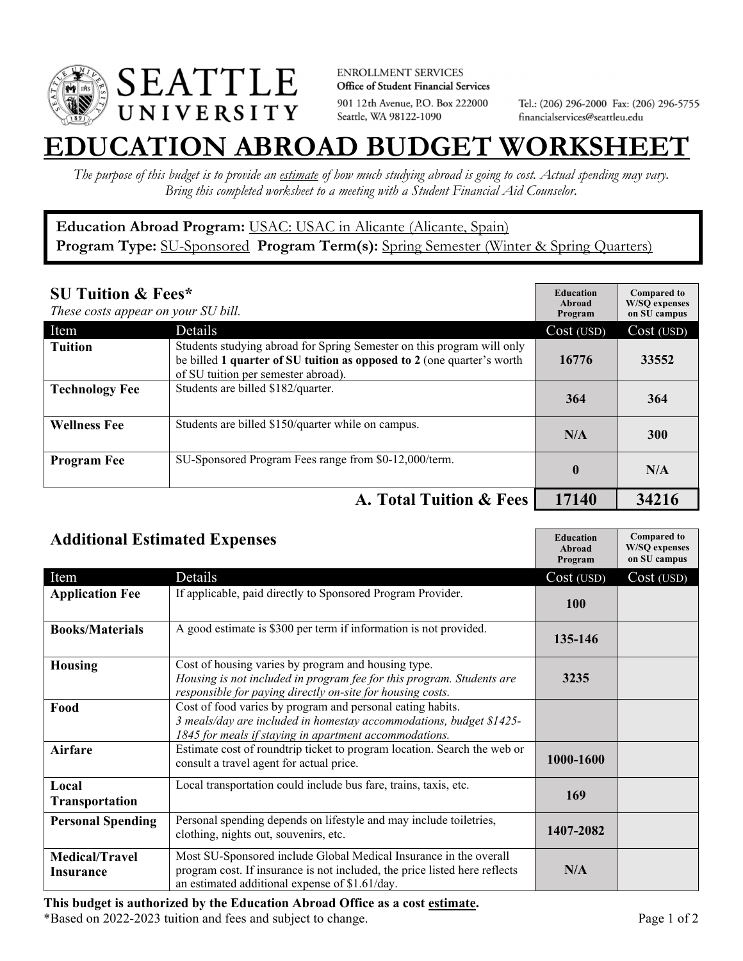

**ENROLLMENT SERVICES** Office of Student Financial Services 901 12th Avenue, P.O. Box 222000 Seattle, WA 98122-1090

Tel.: (206) 296-2000 Fax: (206) 296-5755 financialservices@seattleu.edu

## **EATION ABROAD BUDGET WORKSHEE**

*The purpose of this budget is to provide an estimate of how much studying abroad is going to cost. Actual spending may vary. Bring this completed worksheet to a meeting with a Student Financial Aid Counselor.* 

## **Education Abroad Program:** USAC: USAC in Alicante (Alicante, Spain) Program Type: **SU-Sponsored** Program Term(s): **Spring Semester** (Winter & Spring Quarters)

| <b>SU Tuition &amp; Fees*</b><br>These costs appear on your SU bill. |                                                                                                                                                                                         | <b>Education</b><br>Abroad<br>Program | <b>Compared to</b><br><b>W/SO</b> expenses<br>on SU campus |
|----------------------------------------------------------------------|-----------------------------------------------------------------------------------------------------------------------------------------------------------------------------------------|---------------------------------------|------------------------------------------------------------|
| Item                                                                 | Details                                                                                                                                                                                 | Cost (USD)                            | Cost (USD)                                                 |
| <b>Tuition</b>                                                       | Students studying abroad for Spring Semester on this program will only<br>be billed 1 quarter of SU tuition as opposed to 2 (one quarter's worth<br>of SU tuition per semester abroad). | 16776                                 | 33552                                                      |
| <b>Technology Fee</b>                                                | Students are billed \$182/quarter.                                                                                                                                                      | 364                                   | 364                                                        |
| <b>Wellness Fee</b>                                                  | Students are billed \$150/quarter while on campus.                                                                                                                                      | N/A                                   | <b>300</b>                                                 |
| <b>Program Fee</b>                                                   | SU-Sponsored Program Fees range from \$0-12,000/term.                                                                                                                                   | $\mathbf{0}$                          | N/A                                                        |
|                                                                      | A. Total Tuition & Fees                                                                                                                                                                 | 17140                                 | 34216                                                      |

| <b>Additional Estimated Expenses</b>      |                                                                                                                                                                                                   | <b>Education</b><br>Abroad<br>Program | <b>Compared to</b><br><b>W/SQ</b> expenses<br>on SU campus |
|-------------------------------------------|---------------------------------------------------------------------------------------------------------------------------------------------------------------------------------------------------|---------------------------------------|------------------------------------------------------------|
| Item                                      | Details                                                                                                                                                                                           | Cost (USD)                            | Cost (USD)                                                 |
| <b>Application Fee</b>                    | If applicable, paid directly to Sponsored Program Provider.                                                                                                                                       | <b>100</b>                            |                                                            |
| <b>Books/Materials</b>                    | A good estimate is \$300 per term if information is not provided.                                                                                                                                 | 135-146                               |                                                            |
| <b>Housing</b>                            | Cost of housing varies by program and housing type.<br>Housing is not included in program fee for this program. Students are<br>responsible for paying directly on-site for housing costs.        | 3235                                  |                                                            |
| Food                                      | Cost of food varies by program and personal eating habits.<br>3 meals/day are included in homestay accommodations, budget \$1425-<br>1845 for meals if staying in apartment accommodations.       |                                       |                                                            |
| <b>Airfare</b>                            | Estimate cost of roundtrip ticket to program location. Search the web or<br>consult a travel agent for actual price.                                                                              | 1000-1600                             |                                                            |
| Local<br>Transportation                   | Local transportation could include bus fare, trains, taxis, etc.                                                                                                                                  | 169                                   |                                                            |
| <b>Personal Spending</b>                  | Personal spending depends on lifestyle and may include toiletries,<br>clothing, nights out, souvenirs, etc.                                                                                       | 1407-2082                             |                                                            |
| <b>Medical/Travel</b><br><b>Insurance</b> | Most SU-Sponsored include Global Medical Insurance in the overall<br>program cost. If insurance is not included, the price listed here reflects<br>an estimated additional expense of \$1.61/day. | N/A                                   |                                                            |

\*Based on 2022-2023 tuition and fees and subject to change. Page 1 of 2